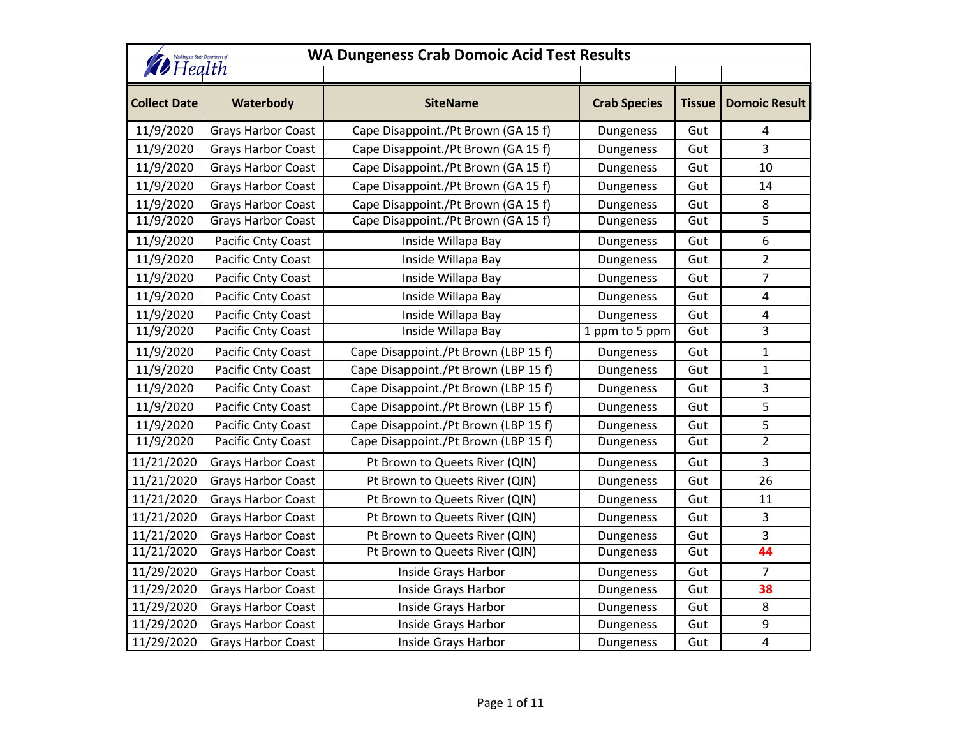| <b>WA Dungeness Crab Domoic Acid Test Results</b><br>Washington State Department of<br><b><i>D</i></b> Health |                           |                                      |                     |               |                      |
|---------------------------------------------------------------------------------------------------------------|---------------------------|--------------------------------------|---------------------|---------------|----------------------|
| <b>Collect Date</b>                                                                                           | Waterbody                 | <b>SiteName</b>                      | <b>Crab Species</b> | <b>Tissue</b> | <b>Domoic Result</b> |
| 11/9/2020                                                                                                     | <b>Grays Harbor Coast</b> | Cape Disappoint./Pt Brown (GA 15 f)  | Dungeness           | Gut           | 4                    |
| 11/9/2020                                                                                                     | <b>Grays Harbor Coast</b> | Cape Disappoint./Pt Brown (GA 15 f)  | Dungeness           | Gut           | 3                    |
| 11/9/2020                                                                                                     | Grays Harbor Coast        | Cape Disappoint./Pt Brown (GA 15 f)  | Dungeness           | Gut           | 10                   |
| 11/9/2020                                                                                                     | <b>Grays Harbor Coast</b> | Cape Disappoint./Pt Brown (GA 15 f)  | Dungeness           | Gut           | 14                   |
| 11/9/2020                                                                                                     | <b>Grays Harbor Coast</b> | Cape Disappoint./Pt Brown (GA 15 f)  | Dungeness           | Gut           | 8                    |
| 11/9/2020                                                                                                     | <b>Grays Harbor Coast</b> | Cape Disappoint./Pt Brown (GA 15 f)  | Dungeness           | Gut           | 5                    |
| 11/9/2020                                                                                                     | Pacific Cnty Coast        | Inside Willapa Bay                   | Dungeness           | Gut           | 6                    |
| 11/9/2020                                                                                                     | Pacific Cnty Coast        | Inside Willapa Bay                   | Dungeness           | Gut           | $\overline{2}$       |
| 11/9/2020                                                                                                     | Pacific Cnty Coast        | Inside Willapa Bay                   | Dungeness           | Gut           | 7                    |
| 11/9/2020                                                                                                     | Pacific Cnty Coast        | Inside Willapa Bay                   | Dungeness           | Gut           | 4                    |
| 11/9/2020                                                                                                     | Pacific Cnty Coast        | Inside Willapa Bay                   | Dungeness           | Gut           | 4                    |
| 11/9/2020                                                                                                     | Pacific Cnty Coast        | Inside Willapa Bay                   | 1 ppm to 5 ppm      | Gut           | 3                    |
| 11/9/2020                                                                                                     | Pacific Cnty Coast        | Cape Disappoint./Pt Brown (LBP 15 f) | Dungeness           | Gut           | 1                    |
| 11/9/2020                                                                                                     | Pacific Cnty Coast        | Cape Disappoint./Pt Brown (LBP 15 f) | Dungeness           | Gut           | $\mathbf 1$          |
| 11/9/2020                                                                                                     | Pacific Cnty Coast        | Cape Disappoint./Pt Brown (LBP 15 f) | Dungeness           | Gut           | 3                    |
| 11/9/2020                                                                                                     | Pacific Cnty Coast        | Cape Disappoint./Pt Brown (LBP 15 f) | Dungeness           | Gut           | 5                    |
| 11/9/2020                                                                                                     | Pacific Cnty Coast        | Cape Disappoint./Pt Brown (LBP 15 f) | Dungeness           | Gut           | 5                    |
| 11/9/2020                                                                                                     | Pacific Cnty Coast        | Cape Disappoint./Pt Brown (LBP 15 f) | Dungeness           | Gut           | $\overline{2}$       |
| 11/21/2020                                                                                                    | <b>Grays Harbor Coast</b> | Pt Brown to Queets River (QIN)       | Dungeness           | Gut           | 3                    |
| 11/21/2020                                                                                                    | <b>Grays Harbor Coast</b> | Pt Brown to Queets River (QIN)       | Dungeness           | Gut           | 26                   |
| 11/21/2020                                                                                                    | <b>Grays Harbor Coast</b> | Pt Brown to Queets River (QIN)       | Dungeness           | Gut           | 11                   |
| 11/21/2020                                                                                                    | <b>Grays Harbor Coast</b> | Pt Brown to Queets River (QIN)       | Dungeness           | Gut           | 3                    |
| 11/21/2020                                                                                                    | <b>Grays Harbor Coast</b> | Pt Brown to Queets River (QIN)       | Dungeness           | Gut           | 3                    |
| 11/21/2020                                                                                                    | <b>Grays Harbor Coast</b> | Pt Brown to Queets River (QIN)       | Dungeness           | Gut           | 44                   |
| 11/29/2020                                                                                                    | <b>Grays Harbor Coast</b> | Inside Grays Harbor                  | Dungeness           | Gut           | $\overline{7}$       |
| 11/29/2020                                                                                                    | <b>Grays Harbor Coast</b> | Inside Grays Harbor                  | Dungeness           | Gut           | 38                   |
| 11/29/2020                                                                                                    | <b>Grays Harbor Coast</b> | Inside Grays Harbor                  | Dungeness           | Gut           | 8                    |
| 11/29/2020                                                                                                    | <b>Grays Harbor Coast</b> | Inside Grays Harbor                  | Dungeness           | Gut           | 9                    |
| 11/29/2020                                                                                                    | <b>Grays Harbor Coast</b> | Inside Grays Harbor                  | Dungeness           | Gut           | $\overline{4}$       |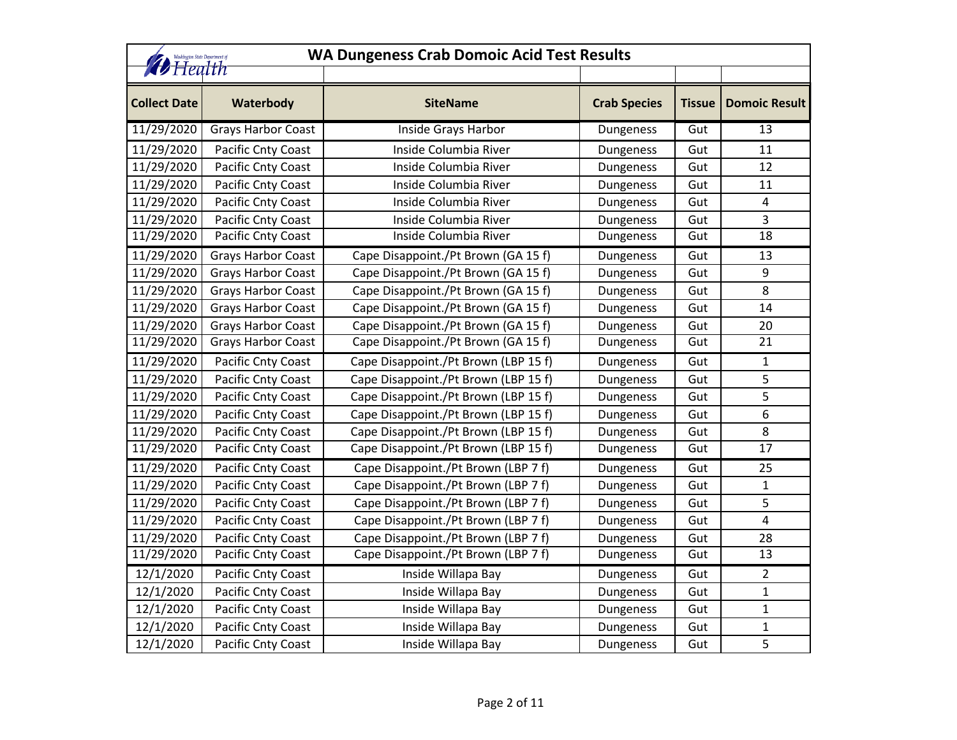|                     | <b>WA Dungeness Crab Domoic Acid Test Results</b><br>Washington State Department of<br><b><i>D</i></b> Health |                                      |                     |               |                      |  |
|---------------------|---------------------------------------------------------------------------------------------------------------|--------------------------------------|---------------------|---------------|----------------------|--|
|                     |                                                                                                               |                                      |                     |               |                      |  |
| <b>Collect Date</b> | Waterbody                                                                                                     | <b>SiteName</b>                      | <b>Crab Species</b> | <b>Tissue</b> | <b>Domoic Result</b> |  |
| 11/29/2020          | <b>Grays Harbor Coast</b>                                                                                     | Inside Grays Harbor                  | Dungeness           | Gut           | 13                   |  |
| 11/29/2020          | Pacific Cnty Coast                                                                                            | Inside Columbia River                | Dungeness           | Gut           | 11                   |  |
| 11/29/2020          | Pacific Cnty Coast                                                                                            | Inside Columbia River                | Dungeness           | Gut           | 12                   |  |
| 11/29/2020          | Pacific Cnty Coast                                                                                            | Inside Columbia River                | Dungeness           | Gut           | 11                   |  |
| 11/29/2020          | Pacific Cnty Coast                                                                                            | Inside Columbia River                | Dungeness           | Gut           | 4                    |  |
| 11/29/2020          | Pacific Cnty Coast                                                                                            | Inside Columbia River                | Dungeness           | Gut           | 3                    |  |
| 11/29/2020          | Pacific Cnty Coast                                                                                            | Inside Columbia River                | Dungeness           | Gut           | 18                   |  |
| 11/29/2020          | <b>Grays Harbor Coast</b>                                                                                     | Cape Disappoint./Pt Brown (GA 15 f)  | Dungeness           | Gut           | 13                   |  |
| 11/29/2020          | <b>Grays Harbor Coast</b>                                                                                     | Cape Disappoint./Pt Brown (GA 15 f)  | Dungeness           | Gut           | 9                    |  |
| 11/29/2020          | Grays Harbor Coast                                                                                            | Cape Disappoint./Pt Brown (GA 15 f)  | Dungeness           | Gut           | 8                    |  |
| 11/29/2020          | Grays Harbor Coast                                                                                            | Cape Disappoint./Pt Brown (GA 15 f)  | Dungeness           | Gut           | 14                   |  |
| 11/29/2020          | Grays Harbor Coast                                                                                            | Cape Disappoint./Pt Brown (GA 15 f)  | Dungeness           | Gut           | 20                   |  |
| 11/29/2020          | <b>Grays Harbor Coast</b>                                                                                     | Cape Disappoint./Pt Brown (GA 15 f)  | Dungeness           | Gut           | 21                   |  |
| 11/29/2020          | Pacific Cnty Coast                                                                                            | Cape Disappoint./Pt Brown (LBP 15 f) | Dungeness           | Gut           | 1                    |  |
| 11/29/2020          | Pacific Cnty Coast                                                                                            | Cape Disappoint./Pt Brown (LBP 15 f) | Dungeness           | Gut           | 5                    |  |
| 11/29/2020          | Pacific Cnty Coast                                                                                            | Cape Disappoint./Pt Brown (LBP 15 f) | Dungeness           | Gut           | 5                    |  |
| 11/29/2020          | Pacific Cnty Coast                                                                                            | Cape Disappoint./Pt Brown (LBP 15 f) | Dungeness           | Gut           | 6                    |  |
| 11/29/2020          | Pacific Cnty Coast                                                                                            | Cape Disappoint./Pt Brown (LBP 15 f) | Dungeness           | Gut           | 8                    |  |
| 11/29/2020          | Pacific Cnty Coast                                                                                            | Cape Disappoint./Pt Brown (LBP 15 f) | Dungeness           | Gut           | $\overline{17}$      |  |
| 11/29/2020          | Pacific Cnty Coast                                                                                            | Cape Disappoint./Pt Brown (LBP 7 f)  | Dungeness           | Gut           | 25                   |  |
| 11/29/2020          | Pacific Cnty Coast                                                                                            | Cape Disappoint./Pt Brown (LBP 7 f)  | Dungeness           | Gut           | $\mathbf{1}$         |  |
| 11/29/2020          | Pacific Cnty Coast                                                                                            | Cape Disappoint./Pt Brown (LBP 7 f)  | Dungeness           | Gut           | 5                    |  |
| 11/29/2020          | Pacific Cnty Coast                                                                                            | Cape Disappoint./Pt Brown (LBP 7 f)  | Dungeness           | Gut           | 4                    |  |
| 11/29/2020          | Pacific Cnty Coast                                                                                            | Cape Disappoint./Pt Brown (LBP 7 f)  | Dungeness           | Gut           | 28                   |  |
| 11/29/2020          | Pacific Cnty Coast                                                                                            | Cape Disappoint./Pt Brown (LBP 7 f)  | Dungeness           | Gut           | 13                   |  |
| 12/1/2020           | Pacific Cnty Coast                                                                                            | Inside Willapa Bay                   | Dungeness           | Gut           | 2                    |  |
| 12/1/2020           | Pacific Cnty Coast                                                                                            | Inside Willapa Bay                   | Dungeness           | Gut           | 1                    |  |
| 12/1/2020           | Pacific Cnty Coast                                                                                            | Inside Willapa Bay                   | Dungeness           | Gut           | $\mathbf{1}$         |  |
| 12/1/2020           | Pacific Cnty Coast                                                                                            | Inside Willapa Bay                   | Dungeness           | Gut           | 1                    |  |
| 12/1/2020           | Pacific Cnty Coast                                                                                            | Inside Willapa Bay                   | Dungeness           | Gut           | 5                    |  |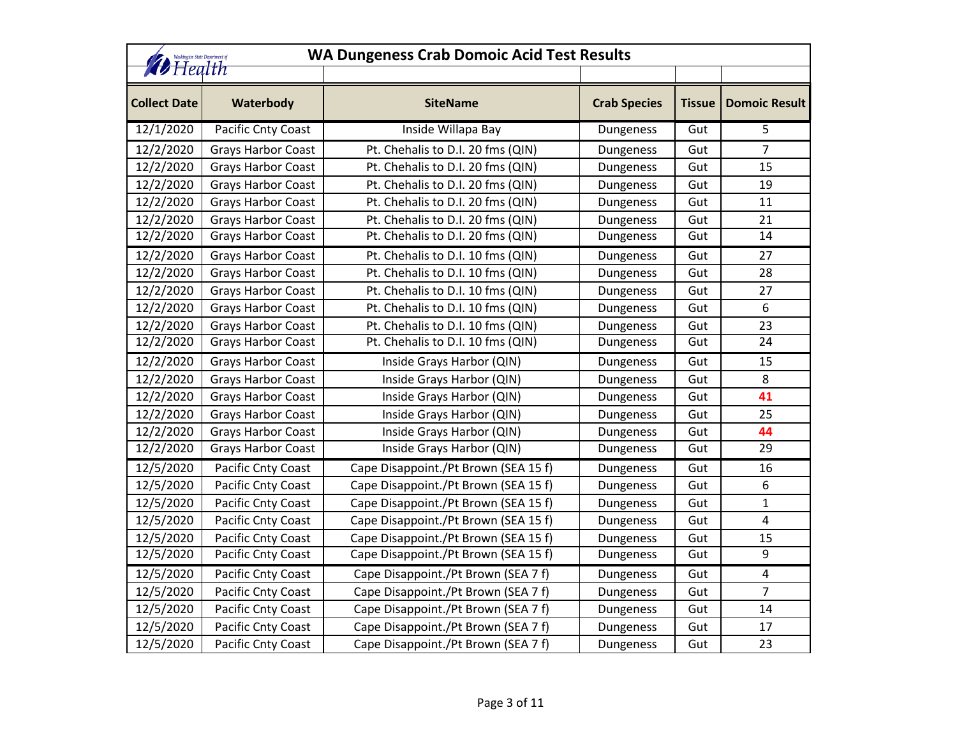| <b>WA Dungeness Crab Domoic Acid Test Results</b><br>Washington State Department of<br><b><i>D</i></b> Health |                           |                                      |                     |               |                      |
|---------------------------------------------------------------------------------------------------------------|---------------------------|--------------------------------------|---------------------|---------------|----------------------|
| <b>Collect Date</b>                                                                                           | Waterbody                 | <b>SiteName</b>                      | <b>Crab Species</b> | <b>Tissue</b> | <b>Domoic Result</b> |
| 12/1/2020                                                                                                     | Pacific Cnty Coast        | Inside Willapa Bay                   | Dungeness           | Gut           | 5                    |
| 12/2/2020                                                                                                     | <b>Grays Harbor Coast</b> | Pt. Chehalis to D.I. 20 fms (QIN)    | Dungeness           | Gut           | $\overline{7}$       |
| 12/2/2020                                                                                                     | <b>Grays Harbor Coast</b> | Pt. Chehalis to D.I. 20 fms (QIN)    | Dungeness           | Gut           | 15                   |
| 12/2/2020                                                                                                     | <b>Grays Harbor Coast</b> | Pt. Chehalis to D.I. 20 fms (QIN)    | Dungeness           | Gut           | 19                   |
| 12/2/2020                                                                                                     | <b>Grays Harbor Coast</b> | Pt. Chehalis to D.I. 20 fms (QIN)    | Dungeness           | Gut           | 11                   |
| 12/2/2020                                                                                                     | <b>Grays Harbor Coast</b> | Pt. Chehalis to D.I. 20 fms (QIN)    | Dungeness           | Gut           | 21                   |
| 12/2/2020                                                                                                     | <b>Grays Harbor Coast</b> | Pt. Chehalis to D.I. 20 fms (QIN)    | Dungeness           | Gut           | 14                   |
| 12/2/2020                                                                                                     | Grays Harbor Coast        | Pt. Chehalis to D.I. 10 fms (QIN)    | Dungeness           | Gut           | 27                   |
| 12/2/2020                                                                                                     | <b>Grays Harbor Coast</b> | Pt. Chehalis to D.I. 10 fms (QIN)    | Dungeness           | Gut           | 28                   |
| 12/2/2020                                                                                                     | <b>Grays Harbor Coast</b> | Pt. Chehalis to D.I. 10 fms (QIN)    | Dungeness           | Gut           | 27                   |
| 12/2/2020                                                                                                     | <b>Grays Harbor Coast</b> | Pt. Chehalis to D.I. 10 fms (QIN)    | Dungeness           | Gut           | 6                    |
| 12/2/2020                                                                                                     | <b>Grays Harbor Coast</b> | Pt. Chehalis to D.I. 10 fms (QIN)    | Dungeness           | Gut           | 23                   |
| 12/2/2020                                                                                                     | Grays Harbor Coast        | Pt. Chehalis to D.I. 10 fms (QIN)    | Dungeness           | Gut           | 24                   |
| 12/2/2020                                                                                                     | <b>Grays Harbor Coast</b> | Inside Grays Harbor (QIN)            | Dungeness           | Gut           | 15                   |
| 12/2/2020                                                                                                     | <b>Grays Harbor Coast</b> | Inside Grays Harbor (QIN)            | Dungeness           | Gut           | 8                    |
| 12/2/2020                                                                                                     | Grays Harbor Coast        | Inside Grays Harbor (QIN)            | Dungeness           | Gut           | 41                   |
| 12/2/2020                                                                                                     | <b>Grays Harbor Coast</b> | Inside Grays Harbor (QIN)            | Dungeness           | Gut           | 25                   |
| 12/2/2020                                                                                                     | <b>Grays Harbor Coast</b> | Inside Grays Harbor (QIN)            | Dungeness           | Gut           | 44                   |
| 12/2/2020                                                                                                     | Grays Harbor Coast        | Inside Grays Harbor (QIN)            | Dungeness           | Gut           | $\overline{29}$      |
| 12/5/2020                                                                                                     | Pacific Cnty Coast        | Cape Disappoint./Pt Brown (SEA 15 f) | Dungeness           | Gut           | 16                   |
| 12/5/2020                                                                                                     | Pacific Cnty Coast        | Cape Disappoint./Pt Brown (SEA 15 f) | Dungeness           | Gut           | 6                    |
| 12/5/2020                                                                                                     | Pacific Cnty Coast        | Cape Disappoint./Pt Brown (SEA 15 f) | Dungeness           | Gut           | 1                    |
| 12/5/2020                                                                                                     | Pacific Cnty Coast        | Cape Disappoint./Pt Brown (SEA 15 f) | Dungeness           | Gut           | 4                    |
| 12/5/2020                                                                                                     | Pacific Cnty Coast        | Cape Disappoint./Pt Brown (SEA 15 f) | Dungeness           | Gut           | 15                   |
| 12/5/2020                                                                                                     | Pacific Cnty Coast        | Cape Disappoint./Pt Brown (SEA 15 f) | Dungeness           | Gut           | 9                    |
| 12/5/2020                                                                                                     | Pacific Cnty Coast        | Cape Disappoint./Pt Brown (SEA 7 f)  | Dungeness           | Gut           | 4                    |
| 12/5/2020                                                                                                     | Pacific Cnty Coast        | Cape Disappoint./Pt Brown (SEA 7 f)  | Dungeness           | Gut           | 7                    |
| 12/5/2020                                                                                                     | Pacific Cnty Coast        | Cape Disappoint./Pt Brown (SEA 7 f)  | Dungeness           | Gut           | 14                   |
| 12/5/2020                                                                                                     | Pacific Cnty Coast        | Cape Disappoint./Pt Brown (SEA 7 f)  | Dungeness           | Gut           | 17                   |
| 12/5/2020                                                                                                     | Pacific Cnty Coast        | Cape Disappoint./Pt Brown (SEA 7 f)  | Dungeness           | Gut           | 23                   |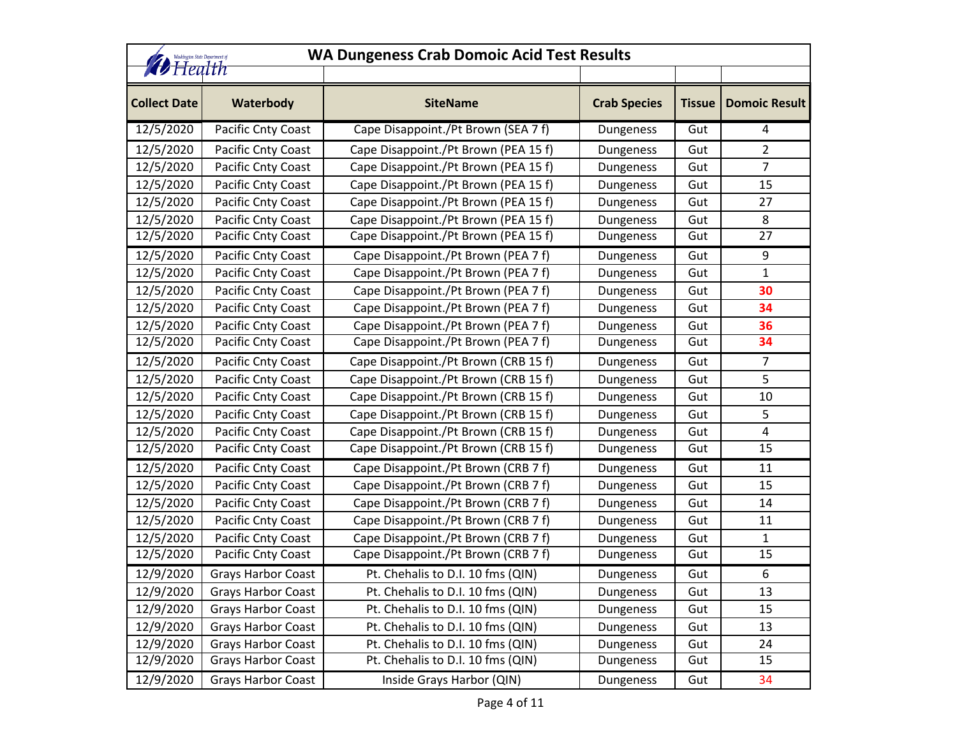|                     | <b>WA Dungeness Crab Domoic Acid Test Results</b><br>Washington State Department of<br><b><i>D</i></b> Health |                                      |                     |               |                      |  |
|---------------------|---------------------------------------------------------------------------------------------------------------|--------------------------------------|---------------------|---------------|----------------------|--|
| <b>Collect Date</b> | Waterbody                                                                                                     | <b>SiteName</b>                      | <b>Crab Species</b> | <b>Tissue</b> | <b>Domoic Result</b> |  |
| 12/5/2020           | Pacific Cnty Coast                                                                                            | Cape Disappoint./Pt Brown (SEA 7 f)  | Dungeness           | Gut           | 4                    |  |
| 12/5/2020           | Pacific Cnty Coast                                                                                            | Cape Disappoint./Pt Brown (PEA 15 f) | Dungeness           | Gut           | $\overline{2}$       |  |
| 12/5/2020           | Pacific Cnty Coast                                                                                            | Cape Disappoint./Pt Brown (PEA 15 f) | Dungeness           | Gut           | $\overline{7}$       |  |
| 12/5/2020           | Pacific Cnty Coast                                                                                            | Cape Disappoint./Pt Brown (PEA 15 f) | Dungeness           | Gut           | 15                   |  |
| 12/5/2020           | Pacific Cnty Coast                                                                                            | Cape Disappoint./Pt Brown (PEA 15 f) | Dungeness           | Gut           | 27                   |  |
| 12/5/2020           | Pacific Cnty Coast                                                                                            | Cape Disappoint./Pt Brown (PEA 15 f) | Dungeness           | Gut           | 8                    |  |
| 12/5/2020           | Pacific Cnty Coast                                                                                            | Cape Disappoint./Pt Brown (PEA 15 f) | Dungeness           | Gut           | 27                   |  |
| 12/5/2020           | Pacific Cnty Coast                                                                                            | Cape Disappoint./Pt Brown (PEA 7 f)  | Dungeness           | Gut           | 9                    |  |
| 12/5/2020           | Pacific Cnty Coast                                                                                            | Cape Disappoint./Pt Brown (PEA 7 f)  | Dungeness           | Gut           | 1                    |  |
| 12/5/2020           | Pacific Cnty Coast                                                                                            | Cape Disappoint./Pt Brown (PEA 7 f)  | Dungeness           | Gut           | 30                   |  |
| 12/5/2020           | Pacific Cnty Coast                                                                                            | Cape Disappoint./Pt Brown (PEA 7 f)  | Dungeness           | Gut           | 34                   |  |
| 12/5/2020           | Pacific Cnty Coast                                                                                            | Cape Disappoint./Pt Brown (PEA 7 f)  | Dungeness           | Gut           | 36                   |  |
| 12/5/2020           | Pacific Cnty Coast                                                                                            | Cape Disappoint./Pt Brown (PEA 7 f)  | Dungeness           | Gut           | 34                   |  |
| 12/5/2020           | Pacific Cnty Coast                                                                                            | Cape Disappoint./Pt Brown (CRB 15 f) | Dungeness           | Gut           | $\overline{7}$       |  |
| 12/5/2020           | Pacific Cnty Coast                                                                                            | Cape Disappoint./Pt Brown (CRB 15 f) | Dungeness           | Gut           | 5                    |  |
| 12/5/2020           | Pacific Cnty Coast                                                                                            | Cape Disappoint./Pt Brown (CRB 15 f) | Dungeness           | Gut           | 10                   |  |
| 12/5/2020           | Pacific Cnty Coast                                                                                            | Cape Disappoint./Pt Brown (CRB 15 f) | Dungeness           | Gut           | 5                    |  |
| 12/5/2020           | Pacific Cnty Coast                                                                                            | Cape Disappoint./Pt Brown (CRB 15 f) | Dungeness           | Gut           | 4                    |  |
| 12/5/2020           | Pacific Cnty Coast                                                                                            | Cape Disappoint./Pt Brown (CRB 15 f) | Dungeness           | Gut           | 15                   |  |
| 12/5/2020           | Pacific Cnty Coast                                                                                            | Cape Disappoint./Pt Brown (CRB 7 f)  | Dungeness           | Gut           | 11                   |  |
| 12/5/2020           | Pacific Cnty Coast                                                                                            | Cape Disappoint./Pt Brown (CRB 7 f)  | Dungeness           | Gut           | 15                   |  |
| 12/5/2020           | Pacific Cnty Coast                                                                                            | Cape Disappoint./Pt Brown (CRB 7 f)  | Dungeness           | Gut           | 14                   |  |
| 12/5/2020           | Pacific Cnty Coast                                                                                            | Cape Disappoint./Pt Brown (CRB 7 f)  | Dungeness           | Gut           | 11                   |  |
| 12/5/2020           | Pacific Cnty Coast                                                                                            | Cape Disappoint./Pt Brown (CRB 7 f)  | Dungeness           | Gut           | $\mathbf{1}$         |  |
| 12/5/2020           | Pacific Cnty Coast                                                                                            | Cape Disappoint./Pt Brown (CRB 7 f)  | Dungeness           | Gut           | 15                   |  |
| 12/9/2020           | <b>Grays Harbor Coast</b>                                                                                     | Pt. Chehalis to D.I. 10 fms (QIN)    | Dungeness           | Gut           | 6                    |  |
| 12/9/2020           | <b>Grays Harbor Coast</b>                                                                                     | Pt. Chehalis to D.I. 10 fms (QIN)    | Dungeness           | Gut           | 13                   |  |
| 12/9/2020           | <b>Grays Harbor Coast</b>                                                                                     | Pt. Chehalis to D.I. 10 fms (QIN)    | Dungeness           | Gut           | 15                   |  |
| 12/9/2020           | <b>Grays Harbor Coast</b>                                                                                     | Pt. Chehalis to D.I. 10 fms (QIN)    | Dungeness           | Gut           | 13                   |  |
| 12/9/2020           | <b>Grays Harbor Coast</b>                                                                                     | Pt. Chehalis to D.I. 10 fms (QIN)    | Dungeness           | Gut           | 24                   |  |
| 12/9/2020           | <b>Grays Harbor Coast</b>                                                                                     | Pt. Chehalis to D.I. 10 fms (QIN)    | Dungeness           | Gut           | 15                   |  |
| 12/9/2020           | <b>Grays Harbor Coast</b>                                                                                     | Inside Grays Harbor (QIN)            | Dungeness           | Gut           | 34                   |  |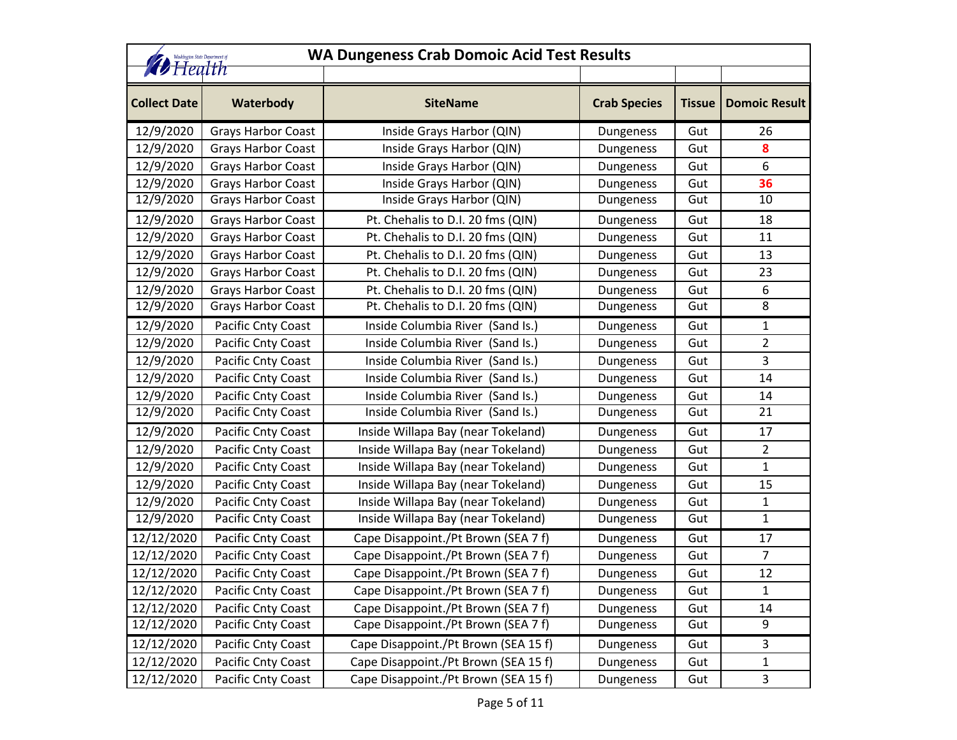| <b>WA Dungeness Crab Domoic Acid Test Results</b><br>Washington State Department of |                           |                                      |                     |               |                      |  |
|-------------------------------------------------------------------------------------|---------------------------|--------------------------------------|---------------------|---------------|----------------------|--|
| <b><i>D</i></b> Health                                                              |                           |                                      |                     |               |                      |  |
| <b>Collect Date</b>                                                                 | Waterbody                 | <b>SiteName</b>                      | <b>Crab Species</b> | <b>Tissue</b> | <b>Domoic Result</b> |  |
| 12/9/2020                                                                           | <b>Grays Harbor Coast</b> | Inside Grays Harbor (QIN)            | Dungeness           | Gut           | 26                   |  |
| 12/9/2020                                                                           | <b>Grays Harbor Coast</b> | Inside Grays Harbor (QIN)            | Dungeness           | Gut           | 8                    |  |
| 12/9/2020                                                                           | <b>Grays Harbor Coast</b> | Inside Grays Harbor (QIN)            | Dungeness           | Gut           | 6                    |  |
| 12/9/2020                                                                           | <b>Grays Harbor Coast</b> | Inside Grays Harbor (QIN)            | Dungeness           | Gut           | 36                   |  |
| 12/9/2020                                                                           | Grays Harbor Coast        | Inside Grays Harbor (QIN)            | Dungeness           | Gut           | 10                   |  |
| 12/9/2020                                                                           | <b>Grays Harbor Coast</b> | Pt. Chehalis to D.I. 20 fms (QIN)    | Dungeness           | Gut           | 18                   |  |
| 12/9/2020                                                                           | <b>Grays Harbor Coast</b> | Pt. Chehalis to D.I. 20 fms (QIN)    | Dungeness           | Gut           | 11                   |  |
| 12/9/2020                                                                           | Grays Harbor Coast        | Pt. Chehalis to D.I. 20 fms (QIN)    | Dungeness           | Gut           | 13                   |  |
| 12/9/2020                                                                           | <b>Grays Harbor Coast</b> | Pt. Chehalis to D.I. 20 fms (QIN)    | Dungeness           | Gut           | 23                   |  |
| 12/9/2020                                                                           | <b>Grays Harbor Coast</b> | Pt. Chehalis to D.I. 20 fms (QIN)    | Dungeness           | Gut           | 6                    |  |
| 12/9/2020                                                                           | <b>Grays Harbor Coast</b> | Pt. Chehalis to D.I. 20 fms (QIN)    | Dungeness           | Gut           | 8                    |  |
| 12/9/2020                                                                           | Pacific Cnty Coast        | Inside Columbia River (Sand Is.)     | Dungeness           | Gut           | 1                    |  |
| 12/9/2020                                                                           | Pacific Cnty Coast        | Inside Columbia River (Sand Is.)     | Dungeness           | Gut           | 2                    |  |
| 12/9/2020                                                                           | Pacific Cnty Coast        | Inside Columbia River (Sand Is.)     | Dungeness           | Gut           | 3                    |  |
| 12/9/2020                                                                           | Pacific Cnty Coast        | Inside Columbia River (Sand Is.)     | Dungeness           | Gut           | 14                   |  |
| 12/9/2020                                                                           | Pacific Cnty Coast        | Inside Columbia River (Sand Is.)     | Dungeness           | Gut           | 14                   |  |
| 12/9/2020                                                                           | Pacific Cnty Coast        | Inside Columbia River (Sand Is.)     | Dungeness           | Gut           | 21                   |  |
| 12/9/2020                                                                           | Pacific Cnty Coast        | Inside Willapa Bay (near Tokeland)   | Dungeness           | Gut           | 17                   |  |
| 12/9/2020                                                                           | Pacific Cnty Coast        | Inside Willapa Bay (near Tokeland)   | Dungeness           | Gut           | $\overline{2}$       |  |
| 12/9/2020                                                                           | Pacific Cnty Coast        | Inside Willapa Bay (near Tokeland)   | Dungeness           | Gut           | 1                    |  |
| 12/9/2020                                                                           | Pacific Cnty Coast        | Inside Willapa Bay (near Tokeland)   | Dungeness           | Gut           | 15                   |  |
| 12/9/2020                                                                           | Pacific Cnty Coast        | Inside Willapa Bay (near Tokeland)   | Dungeness           | Gut           | 1                    |  |
| 12/9/2020                                                                           | Pacific Cnty Coast        | Inside Willapa Bay (near Tokeland)   | Dungeness           | Gut           | $\mathbf{1}$         |  |
| 12/12/2020                                                                          | Pacific Cnty Coast        | Cape Disappoint./Pt Brown (SEA 7 f)  | Dungeness           | Gut           | 17                   |  |
| 12/12/2020                                                                          | Pacific Cnty Coast        | Cape Disappoint./Pt Brown (SEA 7 f)  | Dungeness           | Gut           | $\overline{7}$       |  |
| 12/12/2020                                                                          | Pacific Cnty Coast        | Cape Disappoint./Pt Brown (SEA 7 f)  | Dungeness           | Gut           | 12                   |  |
| 12/12/2020                                                                          | Pacific Cnty Coast        | Cape Disappoint./Pt Brown (SEA 7 f)  | Dungeness           | Gut           | 1                    |  |
| 12/12/2020                                                                          | Pacific Cnty Coast        | Cape Disappoint./Pt Brown (SEA 7 f)  | Dungeness           | Gut           | 14                   |  |
| 12/12/2020                                                                          | Pacific Cnty Coast        | Cape Disappoint./Pt Brown (SEA 7 f)  | Dungeness           | Gut           | 9                    |  |
| 12/12/2020                                                                          | Pacific Cnty Coast        | Cape Disappoint./Pt Brown (SEA 15 f) | Dungeness           | Gut           | 3                    |  |
| 12/12/2020                                                                          | Pacific Cnty Coast        | Cape Disappoint./Pt Brown (SEA 15 f) | Dungeness           | Gut           | $\mathbf{1}$         |  |
| 12/12/2020                                                                          | Pacific Cnty Coast        | Cape Disappoint./Pt Brown (SEA 15 f) | Dungeness           | Gut           | 3                    |  |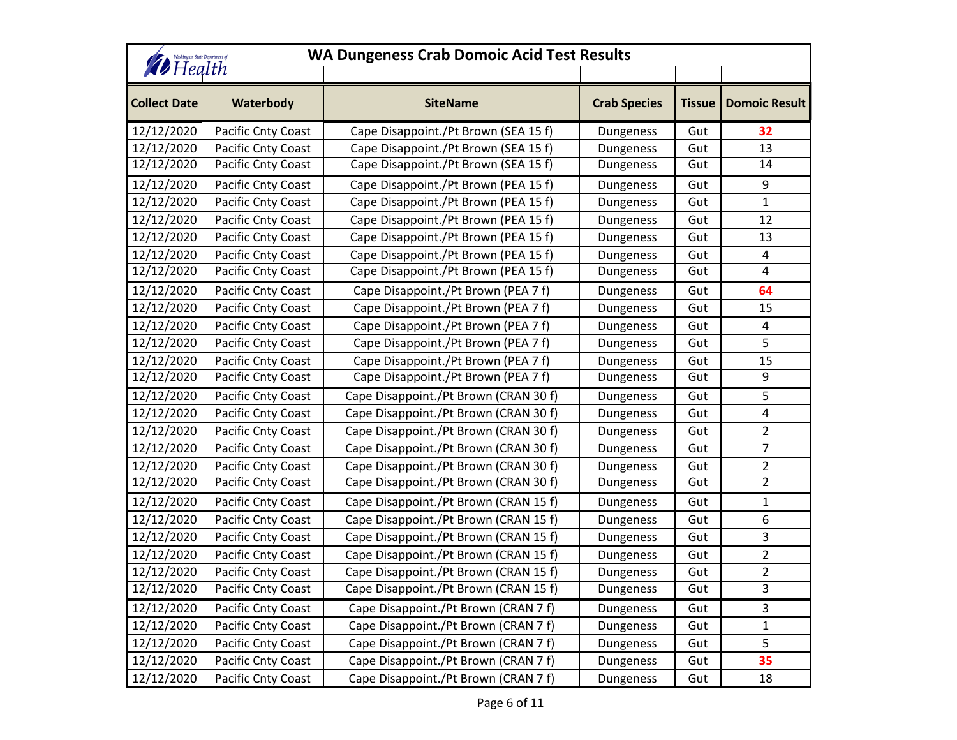| Washington State Department of<br><b><i>D</i></b> Health |                           | <b>WA Dungeness Crab Domoic Acid Test Results</b> |                     |               |                      |
|----------------------------------------------------------|---------------------------|---------------------------------------------------|---------------------|---------------|----------------------|
| <b>Collect Date</b>                                      | Waterbody                 | <b>SiteName</b>                                   | <b>Crab Species</b> | <b>Tissue</b> | <b>Domoic Result</b> |
| 12/12/2020                                               | Pacific Cnty Coast        | Cape Disappoint./Pt Brown (SEA 15 f)              | Dungeness           | Gut           | 32                   |
| 12/12/2020                                               | Pacific Cnty Coast        | Cape Disappoint./Pt Brown (SEA 15 f)              | Dungeness           | Gut           | 13                   |
| 12/12/2020                                               | Pacific Cnty Coast        | Cape Disappoint./Pt Brown (SEA 15 f)              | Dungeness           | Gut           | 14                   |
| 12/12/2020                                               | Pacific Cnty Coast        | Cape Disappoint./Pt Brown (PEA 15 f)              | Dungeness           | Gut           | 9                    |
| 12/12/2020                                               | Pacific Cnty Coast        | Cape Disappoint./Pt Brown (PEA 15 f)              | Dungeness           | Gut           | $\mathbf 1$          |
| 12/12/2020                                               | Pacific Cnty Coast        | Cape Disappoint./Pt Brown (PEA 15 f)              | Dungeness           | Gut           | 12                   |
| 12/12/2020                                               | Pacific Cnty Coast        | Cape Disappoint./Pt Brown (PEA 15 f)              | Dungeness           | Gut           | 13                   |
| 12/12/2020                                               | Pacific Cnty Coast        | Cape Disappoint./Pt Brown (PEA 15 f)              | Dungeness           | Gut           | 4                    |
| 12/12/2020                                               | Pacific Cnty Coast        | Cape Disappoint./Pt Brown (PEA 15 f)              | Dungeness           | Gut           | 4                    |
| 12/12/2020                                               | Pacific Cnty Coast        | Cape Disappoint./Pt Brown (PEA 7 f)               | Dungeness           | Gut           | 64                   |
| 12/12/2020                                               | Pacific Cnty Coast        | Cape Disappoint./Pt Brown (PEA 7 f)               | Dungeness           | Gut           | 15                   |
| 12/12/2020                                               | Pacific Cnty Coast        | Cape Disappoint./Pt Brown (PEA 7 f)               | Dungeness           | Gut           | 4                    |
| 12/12/2020                                               | Pacific Cnty Coast        | Cape Disappoint./Pt Brown (PEA 7 f)               | Dungeness           | Gut           | 5                    |
| 12/12/2020                                               | Pacific Cnty Coast        | Cape Disappoint./Pt Brown (PEA 7 f)               | Dungeness           | Gut           | 15                   |
| 12/12/2020                                               | Pacific Cnty Coast        | Cape Disappoint./Pt Brown (PEA 7 f)               | Dungeness           | Gut           | 9                    |
| 12/12/2020                                               | <b>Pacific Cnty Coast</b> | Cape Disappoint./Pt Brown (CRAN 30 f)             | Dungeness           | Gut           | 5                    |
| 12/12/2020                                               | Pacific Cnty Coast        | Cape Disappoint./Pt Brown (CRAN 30 f)             | Dungeness           | Gut           | 4                    |
| 12/12/2020                                               | Pacific Cnty Coast        | Cape Disappoint./Pt Brown (CRAN 30 f)             | Dungeness           | Gut           | $\overline{2}$       |
| 12/12/2020                                               | Pacific Cnty Coast        | Cape Disappoint./Pt Brown (CRAN 30 f)             | Dungeness           | Gut           | 7                    |
| 12/12/2020                                               | Pacific Cnty Coast        | Cape Disappoint./Pt Brown (CRAN 30 f)             | Dungeness           | Gut           | $\overline{2}$       |
| 12/12/2020                                               | Pacific Cnty Coast        | Cape Disappoint./Pt Brown (CRAN 30 f)             | Dungeness           | Gut           | $\overline{2}$       |
| 12/12/2020                                               | Pacific Cnty Coast        | Cape Disappoint./Pt Brown (CRAN 15 f)             | Dungeness           | Gut           | 1                    |
| 12/12/2020                                               | Pacific Cnty Coast        | Cape Disappoint./Pt Brown (CRAN 15 f)             | Dungeness           | Gut           | 6                    |
| 12/12/2020                                               | Pacific Cnty Coast        | Cape Disappoint./Pt Brown (CRAN 15 f)             | Dungeness           | Gut           | 3                    |
| 12/12/2020                                               | Pacific Cnty Coast        | Cape Disappoint./Pt Brown (CRAN 15 f)             | Dungeness           | Gut           | $\overline{2}$       |
| 12/12/2020                                               | Pacific Cnty Coast        | Cape Disappoint./Pt Brown (CRAN 15 f)             | Dungeness           | Gut           | $\overline{2}$       |
| 12/12/2020                                               | Pacific Cnty Coast        | Cape Disappoint./Pt Brown (CRAN 15 f)             | Dungeness           | Gut           | 3                    |
| 12/12/2020                                               | Pacific Cnty Coast        | Cape Disappoint./Pt Brown (CRAN 7 f)              | Dungeness           | Gut           | 3                    |
| 12/12/2020                                               | Pacific Cnty Coast        | Cape Disappoint./Pt Brown (CRAN 7 f)              | Dungeness           | Gut           | $\mathbf 1$          |
| 12/12/2020                                               | Pacific Cnty Coast        | Cape Disappoint./Pt Brown (CRAN 7 f)              | Dungeness           | Gut           | 5                    |
| 12/12/2020                                               | Pacific Cnty Coast        | Cape Disappoint./Pt Brown (CRAN 7 f)              | Dungeness           | Gut           | 35                   |
| 12/12/2020                                               | Pacific Cnty Coast        | Cape Disappoint./Pt Brown (CRAN 7 f)              | Dungeness           | Gut           | 18                   |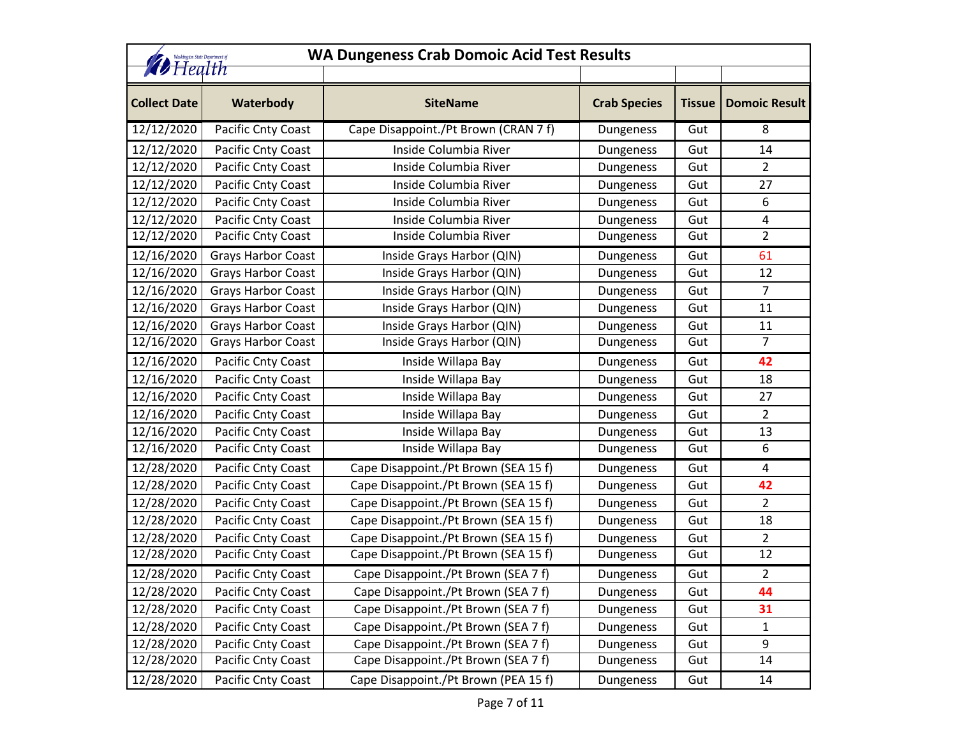|                        | <b>WA Dungeness Crab Domoic Acid Test Results</b><br>Washington State Department of |                                      |                     |               |                      |  |
|------------------------|-------------------------------------------------------------------------------------|--------------------------------------|---------------------|---------------|----------------------|--|
| <b><i>D</i></b> Health |                                                                                     |                                      |                     |               |                      |  |
| <b>Collect Date</b>    | Waterbody                                                                           | <b>SiteName</b>                      | <b>Crab Species</b> | <b>Tissue</b> | <b>Domoic Result</b> |  |
| 12/12/2020             | Pacific Cnty Coast                                                                  | Cape Disappoint./Pt Brown (CRAN 7 f) | Dungeness           | Gut           | 8                    |  |
| 12/12/2020             | Pacific Cnty Coast                                                                  | Inside Columbia River                | Dungeness           | Gut           | 14                   |  |
| 12/12/2020             | Pacific Cnty Coast                                                                  | Inside Columbia River                | Dungeness           | Gut           | $\overline{2}$       |  |
| 12/12/2020             | Pacific Cnty Coast                                                                  | Inside Columbia River                | Dungeness           | Gut           | 27                   |  |
| 12/12/2020             | Pacific Cnty Coast                                                                  | Inside Columbia River                | Dungeness           | Gut           | 6                    |  |
| 12/12/2020             | Pacific Cnty Coast                                                                  | Inside Columbia River                | Dungeness           | Gut           | 4                    |  |
| 12/12/2020             | Pacific Cnty Coast                                                                  | Inside Columbia River                | Dungeness           | Gut           | $\overline{2}$       |  |
| 12/16/2020             | <b>Grays Harbor Coast</b>                                                           | Inside Grays Harbor (QIN)            | Dungeness           | Gut           | 61                   |  |
| 12/16/2020             | <b>Grays Harbor Coast</b>                                                           | Inside Grays Harbor (QIN)            | Dungeness           | Gut           | 12                   |  |
| 12/16/2020             | <b>Grays Harbor Coast</b>                                                           | Inside Grays Harbor (QIN)            | Dungeness           | Gut           | $\overline{7}$       |  |
| 12/16/2020             | Grays Harbor Coast                                                                  | Inside Grays Harbor (QIN)            | Dungeness           | Gut           | 11                   |  |
| 12/16/2020             | <b>Grays Harbor Coast</b>                                                           | Inside Grays Harbor (QIN)            | Dungeness           | Gut           | 11                   |  |
| 12/16/2020             | Grays Harbor Coast                                                                  | Inside Grays Harbor (QIN)            | Dungeness           | Gut           | $\overline{7}$       |  |
| 12/16/2020             | Pacific Cnty Coast                                                                  | Inside Willapa Bay                   | Dungeness           | Gut           | 42                   |  |
| 12/16/2020             | Pacific Cnty Coast                                                                  | Inside Willapa Bay                   | Dungeness           | Gut           | 18                   |  |
| 12/16/2020             | Pacific Cnty Coast                                                                  | Inside Willapa Bay                   | Dungeness           | Gut           | 27                   |  |
| 12/16/2020             | Pacific Cnty Coast                                                                  | Inside Willapa Bay                   | Dungeness           | Gut           | $\overline{2}$       |  |
| 12/16/2020             | Pacific Cnty Coast                                                                  | Inside Willapa Bay                   | Dungeness           | Gut           | 13                   |  |
| 12/16/2020             | Pacific Cnty Coast                                                                  | Inside Willapa Bay                   | Dungeness           | Gut           | 6                    |  |
| 12/28/2020             | Pacific Cnty Coast                                                                  | Cape Disappoint./Pt Brown (SEA 15 f) | Dungeness           | Gut           | 4                    |  |
| 12/28/2020             | Pacific Cnty Coast                                                                  | Cape Disappoint./Pt Brown (SEA 15 f) | Dungeness           | Gut           | 42                   |  |
| 12/28/2020             | Pacific Cnty Coast                                                                  | Cape Disappoint./Pt Brown (SEA 15 f) | Dungeness           | Gut           | $\overline{2}$       |  |
| 12/28/2020             | Pacific Cnty Coast                                                                  | Cape Disappoint./Pt Brown (SEA 15 f) | Dungeness           | Gut           | 18                   |  |
| 12/28/2020             | Pacific Cnty Coast                                                                  | Cape Disappoint./Pt Brown (SEA 15 f) | Dungeness           | Gut           | $\overline{2}$       |  |
| 12/28/2020             | Pacific Cnty Coast                                                                  | Cape Disappoint./Pt Brown (SEA 15 f) | Dungeness           | Gut           | 12                   |  |
| 12/28/2020             | Pacific Cnty Coast                                                                  | Cape Disappoint./Pt Brown (SEA 7 f)  | Dungeness           | Gut           | 2                    |  |
| 12/28/2020             | Pacific Cnty Coast                                                                  | Cape Disappoint./Pt Brown (SEA 7 f)  | Dungeness           | Gut           | 44                   |  |
| 12/28/2020             | Pacific Cnty Coast                                                                  | Cape Disappoint./Pt Brown (SEA 7 f)  | Dungeness           | Gut           | 31                   |  |
| 12/28/2020             | Pacific Cnty Coast                                                                  | Cape Disappoint./Pt Brown (SEA 7 f)  | Dungeness           | Gut           | $\mathbf{1}$         |  |
| 12/28/2020             | Pacific Cnty Coast                                                                  | Cape Disappoint./Pt Brown (SEA 7 f)  | Dungeness           | Gut           | 9                    |  |
| 12/28/2020             | Pacific Cnty Coast                                                                  | Cape Disappoint./Pt Brown (SEA 7 f)  | Dungeness           | Gut           | 14                   |  |
| 12/28/2020             | Pacific Cnty Coast                                                                  | Cape Disappoint./Pt Brown (PEA 15 f) | Dungeness           | Gut           | 14                   |  |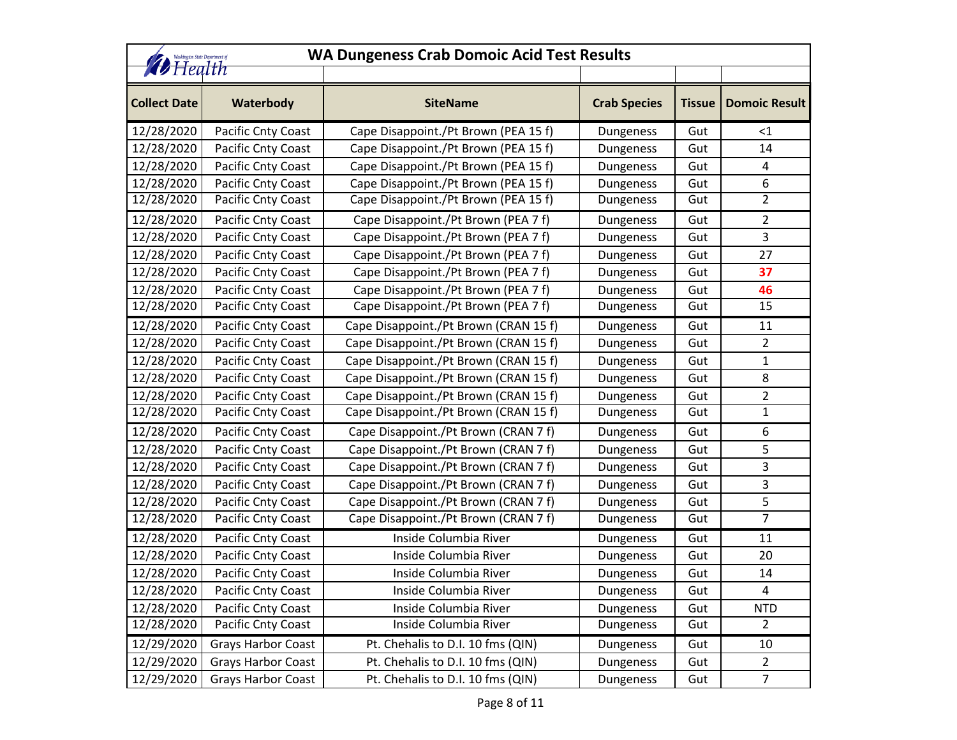| <b>WA Dungeness Crab Domoic Acid Test Results</b><br>Washington State Department of |                           |                                       |                     |               |                      |
|-------------------------------------------------------------------------------------|---------------------------|---------------------------------------|---------------------|---------------|----------------------|
| <b>D</b> Health                                                                     |                           |                                       |                     |               |                      |
| <b>Collect Date</b>                                                                 | Waterbody                 | <b>SiteName</b>                       | <b>Crab Species</b> | <b>Tissue</b> | <b>Domoic Result</b> |
| 12/28/2020                                                                          | Pacific Cnty Coast        | Cape Disappoint./Pt Brown (PEA 15 f)  | Dungeness           | Gut           | $<$ 1                |
| 12/28/2020                                                                          | Pacific Cnty Coast        | Cape Disappoint./Pt Brown (PEA 15 f)  | Dungeness           | Gut           | 14                   |
| 12/28/2020                                                                          | Pacific Cnty Coast        | Cape Disappoint./Pt Brown (PEA 15 f)  | Dungeness           | Gut           | 4                    |
| 12/28/2020                                                                          | Pacific Cnty Coast        | Cape Disappoint./Pt Brown (PEA 15 f)  | Dungeness           | Gut           | 6                    |
| 12/28/2020                                                                          | Pacific Cnty Coast        | Cape Disappoint./Pt Brown (PEA 15 f)  | Dungeness           | Gut           | 2                    |
| 12/28/2020                                                                          | Pacific Cnty Coast        | Cape Disappoint./Pt Brown (PEA 7 f)   | Dungeness           | Gut           | 2                    |
| 12/28/2020                                                                          | Pacific Cnty Coast        | Cape Disappoint./Pt Brown (PEA 7 f)   | Dungeness           | Gut           | 3                    |
| 12/28/2020                                                                          | Pacific Cnty Coast        | Cape Disappoint./Pt Brown (PEA 7 f)   | Dungeness           | Gut           | 27                   |
| 12/28/2020                                                                          | Pacific Cnty Coast        | Cape Disappoint./Pt Brown (PEA 7 f)   | Dungeness           | Gut           | 37                   |
| 12/28/2020                                                                          | Pacific Cnty Coast        | Cape Disappoint./Pt Brown (PEA 7 f)   | Dungeness           | Gut           | 46                   |
| 12/28/2020                                                                          | Pacific Cnty Coast        | Cape Disappoint./Pt Brown (PEA 7 f)   | Dungeness           | Gut           | 15                   |
| 12/28/2020                                                                          | Pacific Cnty Coast        | Cape Disappoint./Pt Brown (CRAN 15 f) | Dungeness           | Gut           | 11                   |
| 12/28/2020                                                                          | Pacific Cnty Coast        | Cape Disappoint./Pt Brown (CRAN 15 f) | Dungeness           | Gut           | 2                    |
| 12/28/2020                                                                          | Pacific Cnty Coast        | Cape Disappoint./Pt Brown (CRAN 15 f) | Dungeness           | Gut           | 1                    |
| 12/28/2020                                                                          | Pacific Cnty Coast        | Cape Disappoint./Pt Brown (CRAN 15 f) | Dungeness           | Gut           | 8                    |
| 12/28/2020                                                                          | Pacific Cnty Coast        | Cape Disappoint./Pt Brown (CRAN 15 f) | Dungeness           | Gut           | 2                    |
| 12/28/2020                                                                          | Pacific Cnty Coast        | Cape Disappoint./Pt Brown (CRAN 15 f) | Dungeness           | Gut           | 1                    |
| 12/28/2020                                                                          | Pacific Cnty Coast        | Cape Disappoint./Pt Brown (CRAN 7 f)  | Dungeness           | Gut           | 6                    |
| 12/28/2020                                                                          | Pacific Cnty Coast        | Cape Disappoint./Pt Brown (CRAN 7 f)  | Dungeness           | Gut           | 5                    |
| 12/28/2020                                                                          | Pacific Cnty Coast        | Cape Disappoint./Pt Brown (CRAN 7 f)  | Dungeness           | Gut           | 3                    |
| 12/28/2020                                                                          | Pacific Cnty Coast        | Cape Disappoint./Pt Brown (CRAN 7 f)  | Dungeness           | Gut           | 3                    |
| 12/28/2020                                                                          | Pacific Cnty Coast        | Cape Disappoint./Pt Brown (CRAN 7 f)  | Dungeness           | Gut           | 5                    |
| 12/28/2020                                                                          | Pacific Cnty Coast        | Cape Disappoint./Pt Brown (CRAN 7 f)  | Dungeness           | Gut           | $\overline{7}$       |
| 12/28/2020                                                                          | Pacific Cnty Coast        | Inside Columbia River                 | Dungeness           | Gut           | 11                   |
| 12/28/2020                                                                          | Pacific Cnty Coast        | Inside Columbia River                 | Dungeness           | Gut           | 20                   |
| 12/28/2020                                                                          | Pacific Cnty Coast        | Inside Columbia River                 | Dungeness           | Gut           | 14                   |
| 12/28/2020                                                                          | Pacific Cnty Coast        | Inside Columbia River                 | Dungeness           | Gut           | 4                    |
| 12/28/2020                                                                          | Pacific Cnty Coast        | Inside Columbia River                 | Dungeness           | Gut           | <b>NTD</b>           |
| 12/28/2020                                                                          | Pacific Cnty Coast        | Inside Columbia River                 | Dungeness           | Gut           | $\overline{2}$       |
| 12/29/2020                                                                          | <b>Grays Harbor Coast</b> | Pt. Chehalis to D.I. 10 fms (QIN)     | Dungeness           | Gut           | 10                   |
| 12/29/2020                                                                          | <b>Grays Harbor Coast</b> | Pt. Chehalis to D.I. 10 fms (QIN)     | Dungeness           | Gut           | $\overline{2}$       |
| 12/29/2020                                                                          | <b>Grays Harbor Coast</b> | Pt. Chehalis to D.I. 10 fms (QIN)     | Dungeness           | Gut           | $\overline{7}$       |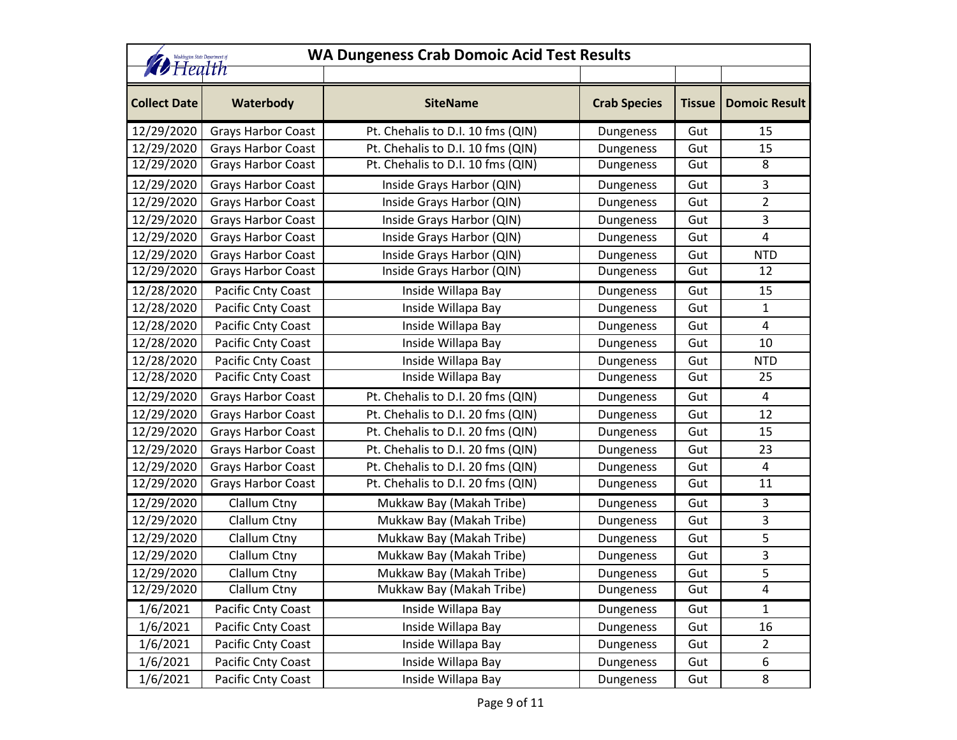| <b>WA Dungeness Crab Domoic Acid Test Results</b><br>Washington State Department of |                           |                                   |                     |               |                      |
|-------------------------------------------------------------------------------------|---------------------------|-----------------------------------|---------------------|---------------|----------------------|
| <b><i>D</i></b> Health                                                              |                           |                                   |                     |               |                      |
| <b>Collect Date</b>                                                                 | Waterbody                 | <b>SiteName</b>                   | <b>Crab Species</b> | <b>Tissue</b> | <b>Domoic Result</b> |
| 12/29/2020                                                                          | <b>Grays Harbor Coast</b> | Pt. Chehalis to D.I. 10 fms (QIN) | Dungeness           | Gut           | 15                   |
| 12/29/2020                                                                          | <b>Grays Harbor Coast</b> | Pt. Chehalis to D.I. 10 fms (QIN) | Dungeness           | Gut           | 15                   |
| 12/29/2020                                                                          | Grays Harbor Coast        | Pt. Chehalis to D.I. 10 fms (QIN) | Dungeness           | Gut           | 8                    |
| 12/29/2020                                                                          | Grays Harbor Coast        | Inside Grays Harbor (QIN)         | Dungeness           | Gut           | 3                    |
| 12/29/2020                                                                          | <b>Grays Harbor Coast</b> | Inside Grays Harbor (QIN)         | Dungeness           | Gut           | $\overline{2}$       |
| 12/29/2020                                                                          | <b>Grays Harbor Coast</b> | Inside Grays Harbor (QIN)         | Dungeness           | Gut           | 3                    |
| 12/29/2020                                                                          | Grays Harbor Coast        | Inside Grays Harbor (QIN)         | Dungeness           | Gut           | $\overline{4}$       |
| 12/29/2020                                                                          | <b>Grays Harbor Coast</b> | Inside Grays Harbor (QIN)         | Dungeness           | Gut           | <b>NTD</b>           |
| 12/29/2020                                                                          | <b>Grays Harbor Coast</b> | Inside Grays Harbor (QIN)         | Dungeness           | Gut           | 12                   |
| 12/28/2020                                                                          | Pacific Cnty Coast        | Inside Willapa Bay                | Dungeness           | Gut           | 15                   |
| 12/28/2020                                                                          | Pacific Cnty Coast        | Inside Willapa Bay                | Dungeness           | Gut           | $\mathbf{1}$         |
| 12/28/2020                                                                          | Pacific Cnty Coast        | Inside Willapa Bay                | Dungeness           | Gut           | 4                    |
| 12/28/2020                                                                          | Pacific Cnty Coast        | Inside Willapa Bay                | Dungeness           | Gut           | 10                   |
| 12/28/2020                                                                          | Pacific Cnty Coast        | Inside Willapa Bay                | Dungeness           | Gut           | <b>NTD</b>           |
| 12/28/2020                                                                          | Pacific Cnty Coast        | Inside Willapa Bay                | Dungeness           | Gut           | 25                   |
| 12/29/2020                                                                          | Grays Harbor Coast        | Pt. Chehalis to D.I. 20 fms (QIN) | Dungeness           | Gut           | $\overline{4}$       |
| 12/29/2020                                                                          | <b>Grays Harbor Coast</b> | Pt. Chehalis to D.I. 20 fms (QIN) | Dungeness           | Gut           | 12                   |
| 12/29/2020                                                                          | Grays Harbor Coast        | Pt. Chehalis to D.I. 20 fms (QIN) | Dungeness           | Gut           | 15                   |
| 12/29/2020                                                                          | Grays Harbor Coast        | Pt. Chehalis to D.I. 20 fms (QIN) | Dungeness           | Gut           | 23                   |
| 12/29/2020                                                                          | <b>Grays Harbor Coast</b> | Pt. Chehalis to D.I. 20 fms (QIN) | Dungeness           | Gut           | 4                    |
| 12/29/2020                                                                          | <b>Grays Harbor Coast</b> | Pt. Chehalis to D.I. 20 fms (QIN) | Dungeness           | Gut           | 11                   |
| 12/29/2020                                                                          | Clallum Ctny              | Mukkaw Bay (Makah Tribe)          | Dungeness           | Gut           | 3                    |
| 12/29/2020                                                                          | Clallum Ctny              | Mukkaw Bay (Makah Tribe)          | Dungeness           | Gut           | 3                    |
| 12/29/2020                                                                          | Clallum Ctny              | Mukkaw Bay (Makah Tribe)          | Dungeness           | Gut           | 5                    |
| 12/29/2020                                                                          | Clallum Ctny              | Mukkaw Bay (Makah Tribe)          | Dungeness           | Gut           | 3                    |
| 12/29/2020                                                                          | Clallum Ctny              | Mukkaw Bay (Makah Tribe)          | Dungeness           | Gut           | 5                    |
| 12/29/2020                                                                          | <b>Clallum Ctny</b>       | Mukkaw Bay (Makah Tribe)          | Dungeness           | Gut           | 4                    |
| 1/6/2021                                                                            | Pacific Cnty Coast        | Inside Willapa Bay                | Dungeness           | Gut           | 1                    |
| 1/6/2021                                                                            | Pacific Cnty Coast        | Inside Willapa Bay                | Dungeness           | Gut           | 16                   |
| 1/6/2021                                                                            | Pacific Cnty Coast        | Inside Willapa Bay                | Dungeness           | Gut           | $\overline{2}$       |
| 1/6/2021                                                                            | Pacific Cnty Coast        | Inside Willapa Bay                | Dungeness           | Gut           | 6                    |
| 1/6/2021                                                                            | Pacific Cnty Coast        | Inside Willapa Bay                | Dungeness           | Gut           | 8                    |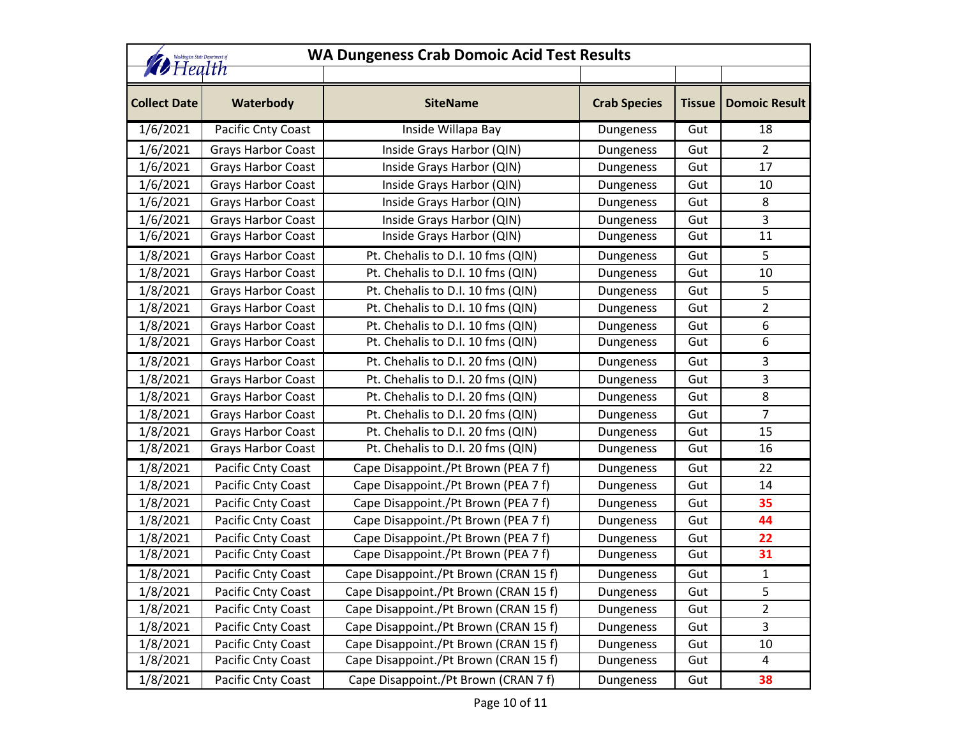| <b>WA Dungeness Crab Domoic Acid Test Results</b><br>Vashington State Department of<br><b><i>D</i></b> Health |                           |                                       |                     |               |                      |
|---------------------------------------------------------------------------------------------------------------|---------------------------|---------------------------------------|---------------------|---------------|----------------------|
| <b>Collect Date</b>                                                                                           | Waterbody                 | <b>SiteName</b>                       | <b>Crab Species</b> | <b>Tissue</b> | <b>Domoic Result</b> |
| 1/6/2021                                                                                                      | Pacific Cnty Coast        | Inside Willapa Bay                    | Dungeness           | Gut           | 18                   |
| 1/6/2021                                                                                                      | <b>Grays Harbor Coast</b> | Inside Grays Harbor (QIN)             | Dungeness           | Gut           | $2^{\circ}$          |
| 1/6/2021                                                                                                      | <b>Grays Harbor Coast</b> | Inside Grays Harbor (QIN)             | Dungeness           | Gut           | 17                   |
| 1/6/2021                                                                                                      | <b>Grays Harbor Coast</b> | Inside Grays Harbor (QIN)             | Dungeness           | Gut           | 10                   |
| 1/6/2021                                                                                                      | <b>Grays Harbor Coast</b> | Inside Grays Harbor (QIN)             | Dungeness           | Gut           | 8                    |
| 1/6/2021                                                                                                      | <b>Grays Harbor Coast</b> | Inside Grays Harbor (QIN)             | Dungeness           | Gut           | $\overline{3}$       |
| 1/6/2021                                                                                                      | <b>Grays Harbor Coast</b> | Inside Grays Harbor (QIN)             | Dungeness           | Gut           | 11                   |
| 1/8/2021                                                                                                      | <b>Grays Harbor Coast</b> | Pt. Chehalis to D.I. 10 fms (QIN)     | Dungeness           | Gut           | 5                    |
| 1/8/2021                                                                                                      | <b>Grays Harbor Coast</b> | Pt. Chehalis to D.I. 10 fms (QIN)     | Dungeness           | Gut           | 10                   |
| 1/8/2021                                                                                                      | <b>Grays Harbor Coast</b> | Pt. Chehalis to D.I. 10 fms (QIN)     | Dungeness           | Gut           | 5                    |
| 1/8/2021                                                                                                      | <b>Grays Harbor Coast</b> | Pt. Chehalis to D.I. 10 fms (QIN)     | Dungeness           | Gut           | $\overline{2}$       |
| 1/8/2021                                                                                                      | <b>Grays Harbor Coast</b> | Pt. Chehalis to D.I. 10 fms (QIN)     | Dungeness           | Gut           | 6                    |
| 1/8/2021                                                                                                      | <b>Grays Harbor Coast</b> | Pt. Chehalis to D.I. 10 fms (QIN)     | Dungeness           | Gut           | $\boldsymbol{6}$     |
| 1/8/2021                                                                                                      | <b>Grays Harbor Coast</b> | Pt. Chehalis to D.I. 20 fms (QIN)     | Dungeness           | Gut           | 3                    |
| 1/8/2021                                                                                                      | <b>Grays Harbor Coast</b> | Pt. Chehalis to D.I. 20 fms (QIN)     | Dungeness           | Gut           | 3                    |
| 1/8/2021                                                                                                      | <b>Grays Harbor Coast</b> | Pt. Chehalis to D.I. 20 fms (QIN)     | Dungeness           | Gut           | 8                    |
| 1/8/2021                                                                                                      | <b>Grays Harbor Coast</b> | Pt. Chehalis to D.I. 20 fms (QIN)     | Dungeness           | Gut           | $\overline{7}$       |
| 1/8/2021                                                                                                      | Grays Harbor Coast        | Pt. Chehalis to D.I. 20 fms (QIN)     | Dungeness           | Gut           | 15                   |
| 1/8/2021                                                                                                      | <b>Grays Harbor Coast</b> | Pt. Chehalis to D.I. 20 fms (QIN)     | Dungeness           | Gut           | 16                   |
| 1/8/2021                                                                                                      | Pacific Cnty Coast        | Cape Disappoint./Pt Brown (PEA 7 f)   | Dungeness           | Gut           | 22                   |
| 1/8/2021                                                                                                      | Pacific Cnty Coast        | Cape Disappoint./Pt Brown (PEA 7 f)   | Dungeness           | Gut           | 14                   |
| 1/8/2021                                                                                                      | Pacific Cnty Coast        | Cape Disappoint./Pt Brown (PEA 7 f)   | Dungeness           | Gut           | 35                   |
| 1/8/2021                                                                                                      | Pacific Cnty Coast        | Cape Disappoint./Pt Brown (PEA 7 f)   | Dungeness           | Gut           | 44                   |
| 1/8/2021                                                                                                      | Pacific Cnty Coast        | Cape Disappoint./Pt Brown (PEA 7 f)   | Dungeness           | Gut           | 22                   |
| 1/8/2021                                                                                                      | Pacific Cnty Coast        | Cape Disappoint./Pt Brown (PEA 7 f)   | Dungeness           | Gut           | 31                   |
| 1/8/2021                                                                                                      | Pacific Cnty Coast        | Cape Disappoint./Pt Brown (CRAN 15 f) | Dungeness           | Gut           | $\mathbf{1}$         |
| 1/8/2021                                                                                                      | Pacific Cnty Coast        | Cape Disappoint./Pt Brown (CRAN 15 f) | Dungeness           | Gut           | 5                    |
| 1/8/2021                                                                                                      | Pacific Cnty Coast        | Cape Disappoint./Pt Brown (CRAN 15 f) | Dungeness           | Gut           | $\overline{2}$       |
| 1/8/2021                                                                                                      | Pacific Cnty Coast        | Cape Disappoint./Pt Brown (CRAN 15 f) | Dungeness           | Gut           | 3                    |
| 1/8/2021                                                                                                      | Pacific Cnty Coast        | Cape Disappoint./Pt Brown (CRAN 15 f) | Dungeness           | Gut           | 10                   |
| 1/8/2021                                                                                                      | <b>Pacific Cnty Coast</b> | Cape Disappoint./Pt Brown (CRAN 15 f) | Dungeness           | Gut           | $\overline{4}$       |
| 1/8/2021                                                                                                      | Pacific Cnty Coast        | Cape Disappoint./Pt Brown (CRAN 7 f)  | Dungeness           | Gut           | 38                   |